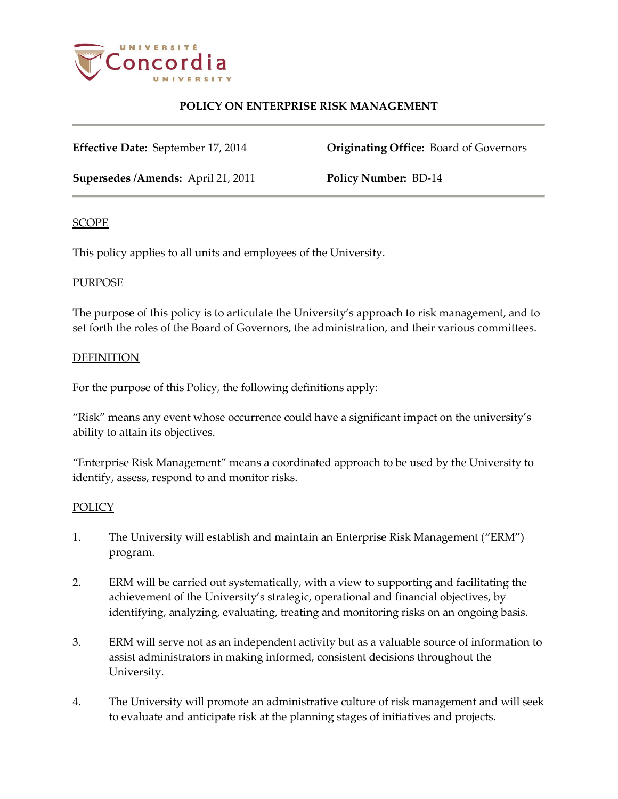

# **POLICY ON ENTERPRISE RISK MANAGEMENT**

**Effective Date:** September 17, 2014 **Originating Office:** Board of Governors

**Supersedes /Amends:** April 21, 2011 **Policy Number:** BD-14

### SCOPE

This policy applies to all units and employees of the University.

### PURPOSE

The purpose of this policy is to articulate the University's approach to risk management, and to set forth the roles of the Board of Governors, the administration, and their various committees.

### DEFINITION

For the purpose of this Policy, the following definitions apply:

"Risk" means any event whose occurrence could have a significant impact on the university's ability to attain its objectives.

"Enterprise Risk Management" means a coordinated approach to be used by the University to identify, assess, respond to and monitor risks.

#### **POLICY**

- 1. The University will establish and maintain an Enterprise Risk Management ("ERM") program.
- 2. ERM will be carried out systematically, with a view to supporting and facilitating the achievement of the University's strategic, operational and financial objectives, by identifying, analyzing, evaluating, treating and monitoring risks on an ongoing basis.
- 3. ERM will serve not as an independent activity but as a valuable source of information to assist administrators in making informed, consistent decisions throughout the University.
- 4. The University will promote an administrative culture of risk management and will seek to evaluate and anticipate risk at the planning stages of initiatives and projects.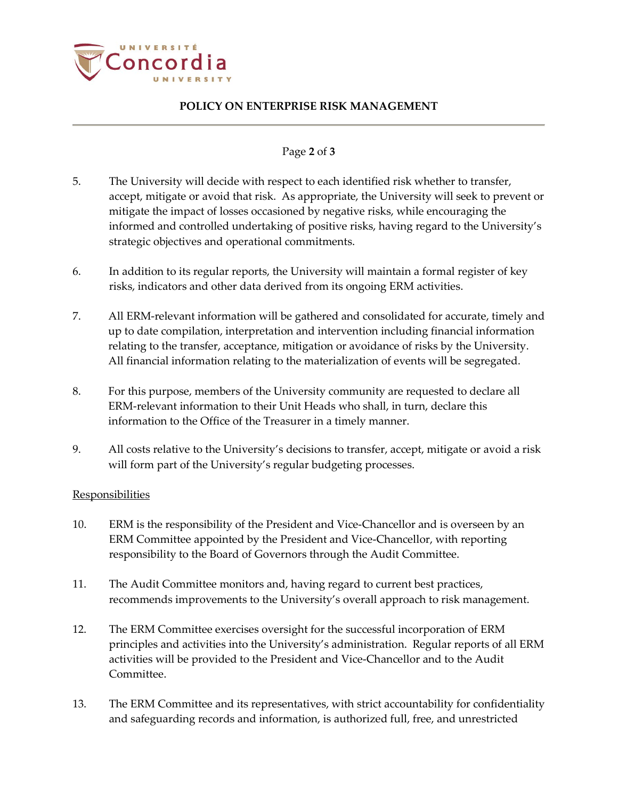

# **POLICY ON ENTERPRISE RISK MANAGEMENT**

## Page **2** of **3**

- 5. The University will decide with respect to each identified risk whether to transfer, accept, mitigate or avoid that risk. As appropriate, the University will seek to prevent or mitigate the impact of losses occasioned by negative risks, while encouraging the informed and controlled undertaking of positive risks, having regard to the University's strategic objectives and operational commitments.
- 6. In addition to its regular reports, the University will maintain a formal register of key risks, indicators and other data derived from its ongoing ERM activities.
- 7. All ERM-relevant information will be gathered and consolidated for accurate, timely and up to date compilation, interpretation and intervention including financial information relating to the transfer, acceptance, mitigation or avoidance of risks by the University. All financial information relating to the materialization of events will be segregated.
- 8. For this purpose, members of the University community are requested to declare all ERM-relevant information to their Unit Heads who shall, in turn, declare this information to the Office of the Treasurer in a timely manner.
- 9. All costs relative to the University's decisions to transfer, accept, mitigate or avoid a risk will form part of the University's regular budgeting processes.

## **Responsibilities**

- 10. ERM is the responsibility of the President and Vice-Chancellor and is overseen by an ERM Committee appointed by the President and Vice-Chancellor, with reporting responsibility to the Board of Governors through the Audit Committee.
- 11. The Audit Committee monitors and, having regard to current best practices, recommends improvements to the University's overall approach to risk management.
- 12. The ERM Committee exercises oversight for the successful incorporation of ERM principles and activities into the University's administration. Regular reports of all ERM activities will be provided to the President and Vice-Chancellor and to the Audit Committee.
- 13. The ERM Committee and its representatives, with strict accountability for confidentiality and safeguarding records and information, is authorized full, free, and unrestricted